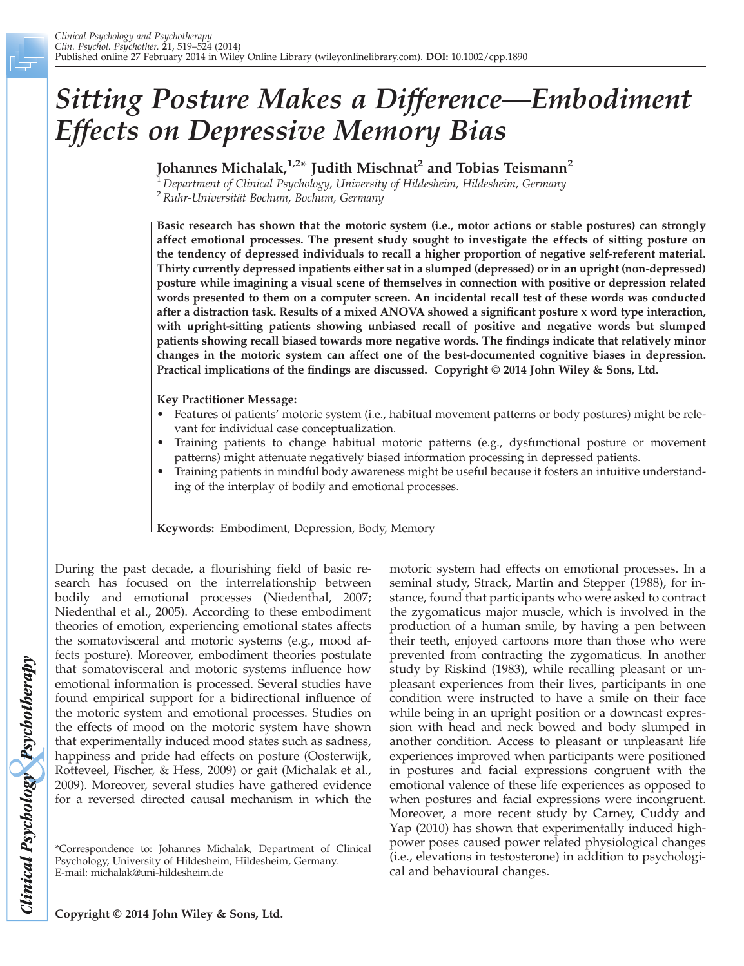# Sitting Posture Makes a Difference—Embodiment Effects on Depressive Memory Bias

Johannes Michalak, $1.2*$  Judith Mischnat<sup>2</sup> and Tobias Teismann<sup>2</sup>

Department of Clinical Psychology, University of Hildesheim, Hildesheim, Germany

 $2$  Ruhr-Universität Bochum, Bochum, Germany

Basic research has shown that the motoric system (i.e., motor actions or stable postures) can strongly affect emotional processes. The present study sought to investigate the effects of sitting posture on the tendency of depressed individuals to recall a higher proportion of negative self-referent material. Thirty currently depressed inpatients either sat in a slumped (depressed) or in an upright (non-depressed) posture while imagining a visual scene of themselves in connection with positive or depression related words presented to them on a computer screen. An incidental recall test of these words was conducted after a distraction task. Results of a mixed ANOVA showed a significant posture x word type interaction, with upright-sitting patients showing unbiased recall of positive and negative words but slumped patients showing recall biased towards more negative words. The findings indicate that relatively minor changes in the motoric system can affect one of the best-documented cognitive biases in depression. Practical implications of the findings are discussed. Copyright © 2014 John Wiley & Sons, Ltd.

Key Practitioner Message:

- Features of patients' motoric system (i.e., habitual movement patterns or body postures) might be relevant for individual case conceptualization.
- Training patients to change habitual motoric patterns (e.g., dysfunctional posture or movement patterns) might attenuate negatively biased information processing in depressed patients.
- Training patients in mindful body awareness might be useful because it fosters an intuitive understanding of the interplay of bodily and emotional processes.

Keywords: Embodiment, Depression, Body, Memory

During the past decade, a flourishing field of basic research has focused on the interrelationship between bodily and emotional processes (Niedenthal, 2007; Niedenthal et al., 2005). According to these embodiment theories of emotion, experiencing emotional states affects the somatovisceral and motoric systems (e.g., mood affects posture). Moreover, embodiment theories postulate that somatovisceral and motoric systems influence how emotional information is processed. Several studies have found empirical support for a bidirectional influence of the motoric system and emotional processes. Studies on the effects of mood on the motoric system have shown that experimentally induced mood states such as sadness, happiness and pride had effects on posture (Oosterwijk, Rotteveel, Fischer, & Hess, 2009) or gait (Michalak et al., 2009). Moreover, several studies have gathered evidence for a reversed directed causal mechanism in which the motoric system had effects on emotional processes. In a seminal study, Strack, Martin and Stepper (1988), for instance, found that participants who were asked to contract the zygomaticus major muscle, which is involved in the production of a human smile, by having a pen between their teeth, enjoyed cartoons more than those who were prevented from contracting the zygomaticus. In another study by Riskind (1983), while recalling pleasant or unpleasant experiences from their lives, participants in one condition were instructed to have a smile on their face while being in an upright position or a downcast expression with head and neck bowed and body slumped in another condition. Access to pleasant or unpleasant life experiences improved when participants were positioned in postures and facial expressions congruent with the emotional valence of these life experiences as opposed to when postures and facial expressions were incongruent. Moreover, a more recent study by Carney, Cuddy and Yap (2010) has shown that experimentally induced highpower poses caused power related physiological changes (i.e., elevations in testosterone) in addition to psychological and behavioural changes.

Clinical Psychology Psychotherapy

<sup>\*</sup>Correspondence to: Johannes Michalak, Department of Clinical Psychology, University of Hildesheim, Hildesheim, Germany. E-mail: michalak@uni-hildesheim.de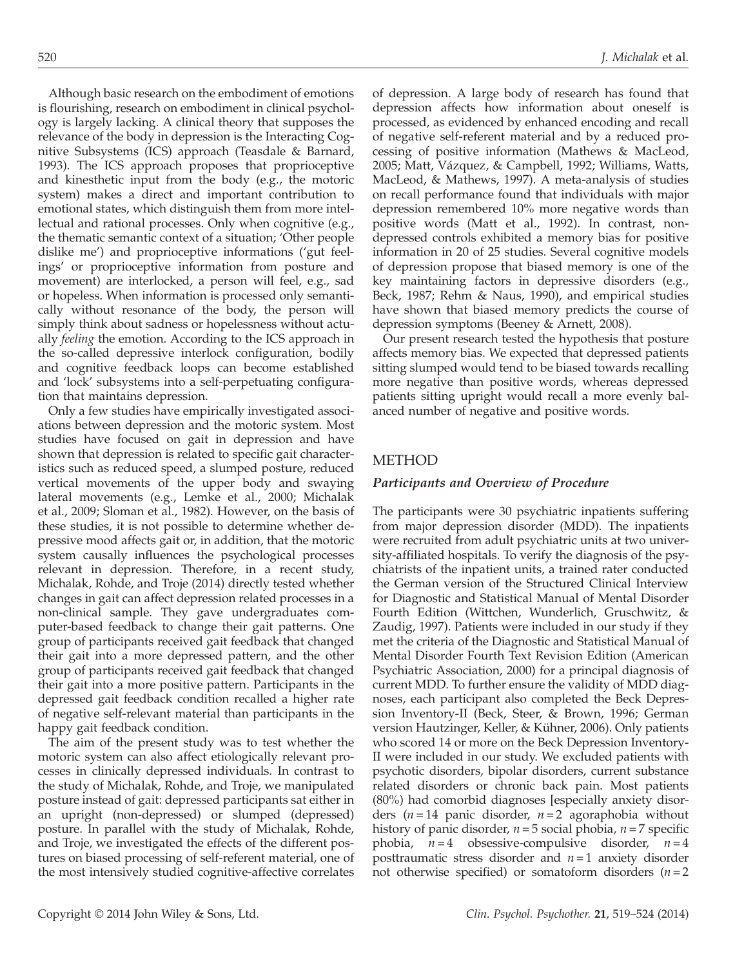Although basic research on the embodiment of emotions is flourishing, research on embodiment in clinical psychology is largely lacking. A clinical theory that supposes the relevance of the body in depression is the Interacting Cognitive Subsystems (ICS) approach (Teasdale & Barnard, 1993). The ICS approach proposes that proprioceptive and kinesthetic input from the body (e.g., the motoric system) makes a direct and important contribution to emotional states, which distinguish them from more intellectual and rational processes. Only when cognitive (e.g., the thematic semantic context of a situation; 'Other people dislike me') and proprioceptive informations ('gut feelings' or proprioceptive information from posture and movement) are interlocked, a person will feel, e.g., sad or hopeless. When information is processed only semantically without resonance of the body, the person will simply think about sadness or hopelessness without actually feeling the emotion. According to the ICS approach in the so-called depressive interlock configuration, bodily and cognitive feedback loops can become established and 'lock' subsystems into a self-perpetuating configuration that maintains depression.

Only a few studies have empirically investigated associations between depression and the motoric system. Most studies have focused on gait in depression and have shown that depression is related to specific gait characteristics such as reduced speed, a slumped posture, reduced vertical movements of the upper body and swaying lateral movements (e.g., Lemke et al., 2000; Michalak et al., 2009; Sloman et al., 1982). However, on the basis of these studies, it is not possible to determine whether depressive mood affects gait or, in addition, that the motoric system causally influences the psychological processes relevant in depression. Therefore, in a recent study, Michalak, Rohde, and Troje (2014) directly tested whether changes in gait can affect depression related processes in a non-clinical sample. They gave undergraduates computer-based feedback to change their gait patterns. One group of participants received gait feedback that changed their gait into a more depressed pattern, and the other group of participants received gait feedback that changed their gait into a more positive pattern. Participants in the depressed gait feedback condition recalled a higher rate of negative self-relevant material than participants in the happy gait feedback condition.

The aim of the present study was to test whether the motoric system can also affect etiologically relevant processes in clinically depressed individuals. In contrast to the study of Michalak, Rohde, and Troje, we manipulated posture instead of gait: depressed participants sat either in an upright (non-depressed) or slumped (depressed) posture. In parallel with the study of Michalak, Rohde, and Troje, we investigated the effects of the different postures on biased processing of self-referent material, one of the most intensively studied cognitive-affective correlates

of depression. A large body of research has found that depression affects how information about oneself is processed, as evidenced by enhanced encoding and recall of negative self-referent material and by a reduced processing of positive information (Mathews & MacLeod, 2005; Matt, Vázquez, & Campbell, 1992; Williams, Watts, MacLeod, & Mathews, 1997). A meta-analysis of studies on recall performance found that individuals with major depression remembered 10% more negative words than positive words (Matt et al., 1992). In contrast, nondepressed controls exhibited a memory bias for positive information in 20 of 25 studies. Several cognitive models of depression propose that biased memory is one of the key maintaining factors in depressive disorders (e.g., Beck, 1987; Rehm & Naus, 1990), and empirical studies have shown that biased memory predicts the course of depression symptoms (Beeney & Arnett, 2008).

Our present research tested the hypothesis that posture affects memory bias. We expected that depressed patients sitting slumped would tend to be biased towards recalling more negative than positive words, whereas depressed patients sitting upright would recall a more evenly balanced number of negative and positive words.

# METHOD

### Participants and Overview of Procedure

The participants were 30 psychiatric inpatients suffering from major depression disorder (MDD). The inpatients were recruited from adult psychiatric units at two university-affiliated hospitals. To verify the diagnosis of the psychiatrists of the inpatient units, a trained rater conducted the German version of the Structured Clinical Interview for Diagnostic and Statistical Manual of Mental Disorder Fourth Edition (Wittchen, Wunderlich, Gruschwitz, & Zaudig, 1997). Patients were included in our study if they met the criteria of the Diagnostic and Statistical Manual of Mental Disorder Fourth Text Revision Edition (American Psychiatric Association, 2000) for a principal diagnosis of current MDD. To further ensure the validity of MDD diagnoses, each participant also completed the Beck Depression Inventory-II (Beck, Steer, & Brown, 1996; German version Hautzinger, Keller, & Kühner, 2006). Only patients who scored 14 or more on the Beck Depression Inventory-II were included in our study. We excluded patients with psychotic disorders, bipolar disorders, current substance related disorders or chronic back pain. Most patients (80%) had comorbid diagnoses [especially anxiety disorders ( $n = 14$  panic disorder,  $n = 2$  agoraphobia without history of panic disorder,  $n = 5$  social phobia,  $n = 7$  specific phobia,  $n=4$  obsessive-compulsive disorder,  $n=4$ posttraumatic stress disorder and  $n = 1$  anxiety disorder not otherwise specified) or somatoform disorders  $(n=2)$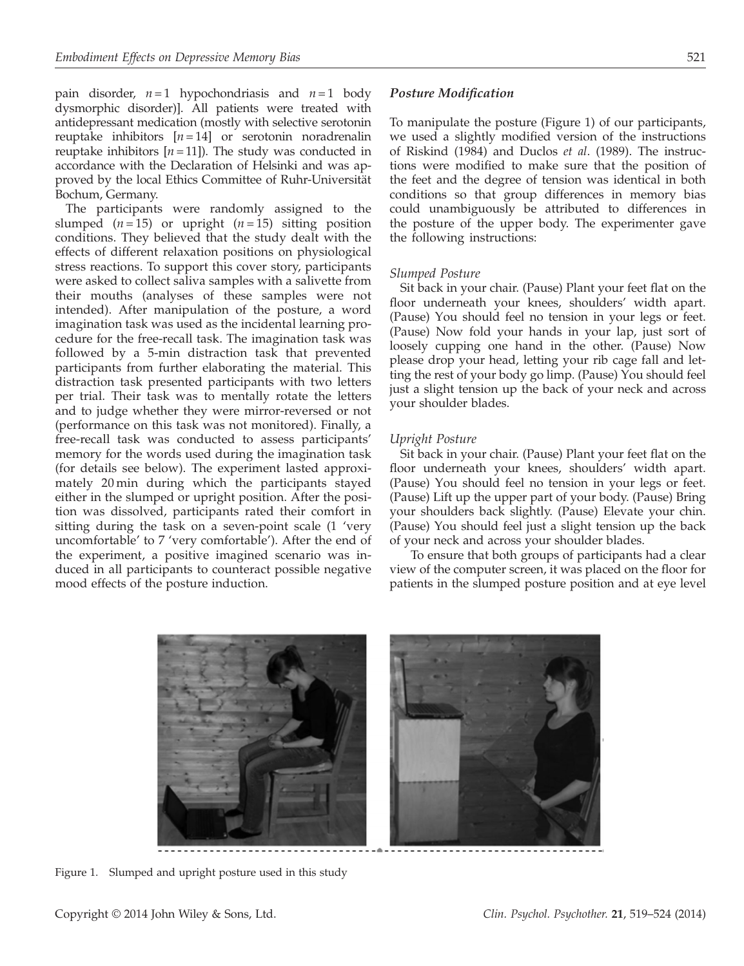pain disorder,  $n=1$  hypochondriasis and  $n=1$  body dysmorphic disorder)]. All patients were treated with antidepressant medication (mostly with selective serotonin reuptake inhibitors  $[n=14]$  or serotonin noradrenalin reuptake inhibitors  $[n = 11]$ ). The study was conducted in accordance with the Declaration of Helsinki and was approved by the local Ethics Committee of Ruhr-Universität Bochum, Germany.

The participants were randomly assigned to the slumped  $(n=15)$  or upright  $(n=15)$  sitting position conditions. They believed that the study dealt with the effects of different relaxation positions on physiological stress reactions. To support this cover story, participants were asked to collect saliva samples with a salivette from their mouths (analyses of these samples were not intended). After manipulation of the posture, a word imagination task was used as the incidental learning procedure for the free-recall task. The imagination task was followed by a 5-min distraction task that prevented participants from further elaborating the material. This distraction task presented participants with two letters per trial. Their task was to mentally rotate the letters and to judge whether they were mirror-reversed or not (performance on this task was not monitored). Finally, a free-recall task was conducted to assess participants' memory for the words used during the imagination task (for details see below). The experiment lasted approximately 20 min during which the participants stayed either in the slumped or upright position. After the position was dissolved, participants rated their comfort in sitting during the task on a seven-point scale (1 'very uncomfortable' to 7 'very comfortable'). After the end of the experiment, a positive imagined scenario was induced in all participants to counteract possible negative mood effects of the posture induction.

### Posture Modification

To manipulate the posture (Figure 1) of our participants, we used a slightly modified version of the instructions of Riskind (1984) and Duclos et al. (1989). The instructions were modified to make sure that the position of the feet and the degree of tension was identical in both conditions so that group differences in memory bias could unambiguously be attributed to differences in the posture of the upper body. The experimenter gave the following instructions:

### Slumped Posture

Sit back in your chair. (Pause) Plant your feet flat on the floor underneath your knees, shoulders' width apart. (Pause) You should feel no tension in your legs or feet. (Pause) Now fold your hands in your lap, just sort of loosely cupping one hand in the other. (Pause) Now please drop your head, letting your rib cage fall and letting the rest of your body go limp. (Pause) You should feel just a slight tension up the back of your neck and across your shoulder blades.

#### Upright Posture

Sit back in your chair. (Pause) Plant your feet flat on the floor underneath your knees, shoulders' width apart. (Pause) You should feel no tension in your legs or feet. (Pause) Lift up the upper part of your body. (Pause) Bring your shoulders back slightly. (Pause) Elevate your chin. (Pause) You should feel just a slight tension up the back of your neck and across your shoulder blades.

To ensure that both groups of participants had a clear view of the computer screen, it was placed on the floor for patients in the slumped posture position and at eye level



Figure 1. Slumped and upright posture used in this study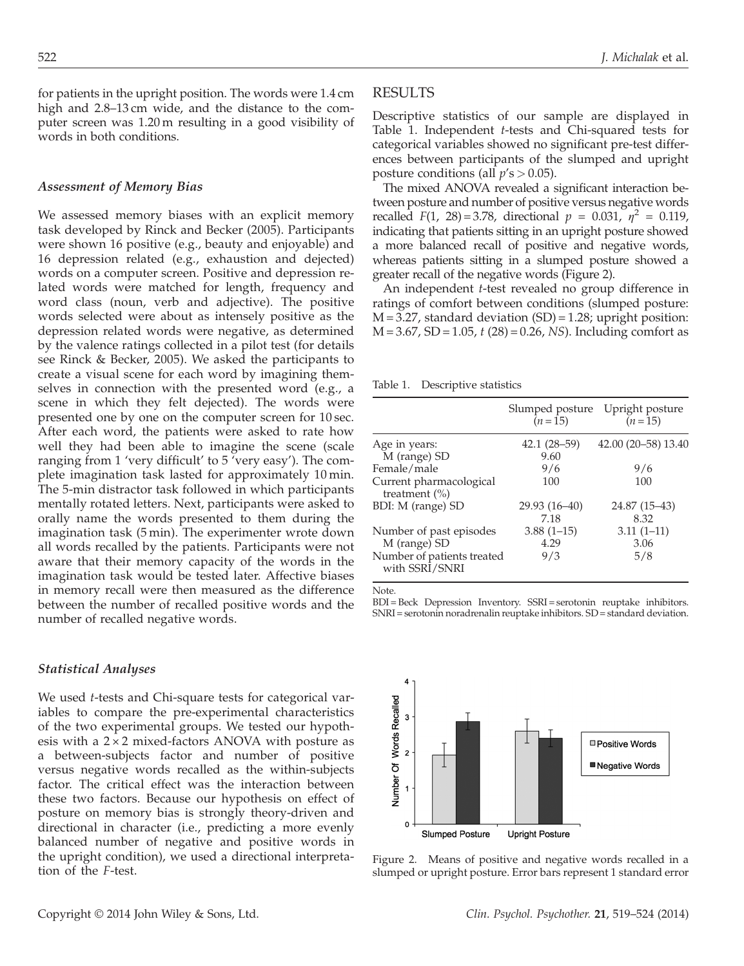for patients in the upright position. The words were 1.4 cm high and 2.8–13 cm wide, and the distance to the computer screen was 1.20 m resulting in a good visibility of words in both conditions.

### Assessment of Memory Bias

We assessed memory biases with an explicit memory task developed by Rinck and Becker (2005). Participants were shown 16 positive (e.g., beauty and enjoyable) and 16 depression related (e.g., exhaustion and dejected) words on a computer screen. Positive and depression related words were matched for length, frequency and word class (noun, verb and adjective). The positive words selected were about as intensely positive as the depression related words were negative, as determined by the valence ratings collected in a pilot test (for details see Rinck & Becker, 2005). We asked the participants to create a visual scene for each word by imagining themselves in connection with the presented word (e.g., a scene in which they felt dejected). The words were presented one by one on the computer screen for 10 sec. After each word, the patients were asked to rate how well they had been able to imagine the scene (scale ranging from 1 'very difficult' to 5 'very easy'). The complete imagination task lasted for approximately 10 min. The 5-min distractor task followed in which participants mentally rotated letters. Next, participants were asked to orally name the words presented to them during the imagination task (5 min). The experimenter wrote down all words recalled by the patients. Participants were not aware that their memory capacity of the words in the imagination task would be tested later. Affective biases in memory recall were then measured as the difference between the number of recalled positive words and the number of recalled negative words.

#### Statistical Analyses

We used *t*-tests and Chi-square tests for categorical variables to compare the pre-experimental characteristics of the two experimental groups. We tested our hypothesis with a  $2 \times 2$  mixed-factors ANOVA with posture as a between-subjects factor and number of positive versus negative words recalled as the within-subjects factor. The critical effect was the interaction between these two factors. Because our hypothesis on effect of posture on memory bias is strongly theory-driven and directional in character (i.e., predicting a more evenly balanced number of negative and positive words in the upright condition), we used a directional interpretation of the F-test.

#### RESULTS

Descriptive statistics of our sample are displayed in Table 1. Independent t-tests and Chi-squared tests for categorical variables showed no significant pre-test differences between participants of the slumped and upright posture conditions (all  $p's > 0.05$ ).

The mixed ANOVA revealed a significant interaction between posture and number of positive versus negative words recalled F(1, 28) = 3.78, directional  $p = 0.031$ ,  $\eta^2 = 0.119$ , indicating that patients sitting in an upright posture showed a more balanced recall of positive and negative words, whereas patients sitting in a slumped posture showed a greater recall of the negative words (Figure 2).

An independent t-test revealed no group difference in ratings of comfort between conditions (slumped posture:  $M = 3.27$ , standard deviation  $(SD) = 1.28$ ; upright position:  $M = 3.67$ , SD = 1.05, t (28) = 0.26, NS). Including comfort as

Table 1. Descriptive statistics

|                                                                       | Slumped posture<br>$(n=15)$ | Upright posture<br>$(n=15)$ |
|-----------------------------------------------------------------------|-----------------------------|-----------------------------|
| Age in years:<br>M (range) SD                                         | $42.1(28-59)$<br>9.60       | 42.00 (20-58) 13.40         |
| Female/male                                                           | 9/6                         | 9/6                         |
| Current pharmacological<br>treatment $(\%)$                           | 100                         | 100                         |
| BDI: M (range) SD                                                     | 29.93 (16-40)<br>7.18       | 24.87 (15-43)<br>8.32       |
| Number of past episodes<br>M (range) SD<br>Number of patients treated | $3.88(1-15)$<br>4.29<br>9/3 | $3.11(1-11)$<br>3.06<br>5/8 |
| with SSRI/SNRI                                                        |                             |                             |

Note.

BDI = Beck Depression Inventory. SSRI = serotonin reuptake inhibitors. SNRI = serotonin noradrenalin reuptake inhibitors. SD = standard deviation.



Figure 2. Means of positive and negative words recalled in a slumped or upright posture. Error bars represent 1 standard error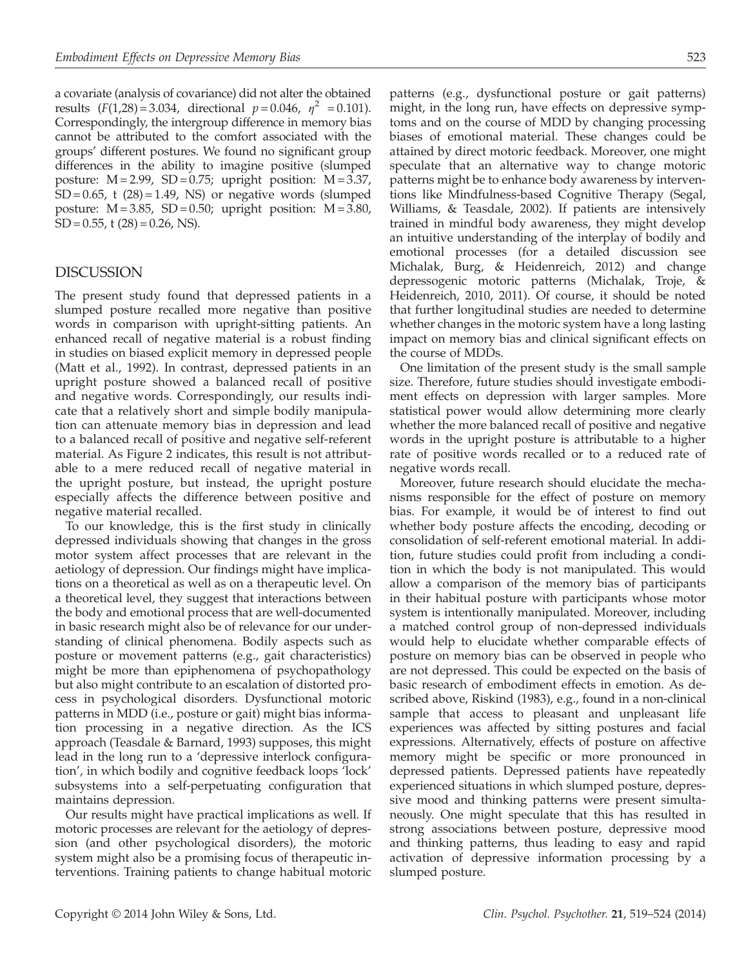a covariate (analysis of covariance) did not alter the obtained results  $(F(1,28) = 3.034$ , directional  $p = 0.046$ ,  $\eta^2 = 0.101$ ). Correspondingly, the intergroup difference in memory bias cannot be attributed to the comfort associated with the groups' different postures. We found no significant group differences in the ability to imagine positive (slumped posture:  $M = 2.99$ ,  $SD = 0.75$ ; upright position:  $M = 3.37$ ,  $SD = 0.65$ , t  $(28) = 1.49$ , NS) or negative words (slumped posture:  $M = 3.85$ ,  $SD = 0.50$ ; upright position:  $M = 3.80$ ,  $SD = 0.55$ , t  $(28) = 0.26$ , NS).

# DISCUSSION

The present study found that depressed patients in a slumped posture recalled more negative than positive words in comparison with upright-sitting patients. An enhanced recall of negative material is a robust finding in studies on biased explicit memory in depressed people (Matt et al., 1992). In contrast, depressed patients in an upright posture showed a balanced recall of positive and negative words. Correspondingly, our results indicate that a relatively short and simple bodily manipulation can attenuate memory bias in depression and lead to a balanced recall of positive and negative self-referent material. As Figure 2 indicates, this result is not attributable to a mere reduced recall of negative material in the upright posture, but instead, the upright posture especially affects the difference between positive and negative material recalled.

To our knowledge, this is the first study in clinically depressed individuals showing that changes in the gross motor system affect processes that are relevant in the aetiology of depression. Our findings might have implications on a theoretical as well as on a therapeutic level. On a theoretical level, they suggest that interactions between the body and emotional process that are well-documented in basic research might also be of relevance for our understanding of clinical phenomena. Bodily aspects such as posture or movement patterns (e.g., gait characteristics) might be more than epiphenomena of psychopathology but also might contribute to an escalation of distorted process in psychological disorders. Dysfunctional motoric patterns in MDD (i.e., posture or gait) might bias information processing in a negative direction. As the ICS approach (Teasdale & Barnard, 1993) supposes, this might lead in the long run to a 'depressive interlock configuration', in which bodily and cognitive feedback loops 'lock' subsystems into a self-perpetuating configuration that maintains depression.

Our results might have practical implications as well. If motoric processes are relevant for the aetiology of depression (and other psychological disorders), the motoric system might also be a promising focus of therapeutic interventions. Training patients to change habitual motoric

patterns (e.g., dysfunctional posture or gait patterns) might, in the long run, have effects on depressive symptoms and on the course of MDD by changing processing biases of emotional material. These changes could be attained by direct motoric feedback. Moreover, one might speculate that an alternative way to change motoric patterns might be to enhance body awareness by interventions like Mindfulness-based Cognitive Therapy (Segal, Williams, & Teasdale, 2002). If patients are intensively trained in mindful body awareness, they might develop an intuitive understanding of the interplay of bodily and emotional processes (for a detailed discussion see Michalak, Burg, & Heidenreich, 2012) and change depressogenic motoric patterns (Michalak, Troje, & Heidenreich, 2010, 2011). Of course, it should be noted that further longitudinal studies are needed to determine whether changes in the motoric system have a long lasting impact on memory bias and clinical significant effects on the course of MDDs.

One limitation of the present study is the small sample size. Therefore, future studies should investigate embodiment effects on depression with larger samples. More statistical power would allow determining more clearly whether the more balanced recall of positive and negative words in the upright posture is attributable to a higher rate of positive words recalled or to a reduced rate of negative words recall.

Moreover, future research should elucidate the mechanisms responsible for the effect of posture on memory bias. For example, it would be of interest to find out whether body posture affects the encoding, decoding or consolidation of self-referent emotional material. In addition, future studies could profit from including a condition in which the body is not manipulated. This would allow a comparison of the memory bias of participants in their habitual posture with participants whose motor system is intentionally manipulated. Moreover, including a matched control group of non-depressed individuals would help to elucidate whether comparable effects of posture on memory bias can be observed in people who are not depressed. This could be expected on the basis of basic research of embodiment effects in emotion. As described above, Riskind (1983), e.g., found in a non-clinical sample that access to pleasant and unpleasant life experiences was affected by sitting postures and facial expressions. Alternatively, effects of posture on affective memory might be specific or more pronounced in depressed patients. Depressed patients have repeatedly experienced situations in which slumped posture, depressive mood and thinking patterns were present simultaneously. One might speculate that this has resulted in strong associations between posture, depressive mood and thinking patterns, thus leading to easy and rapid activation of depressive information processing by a slumped posture.